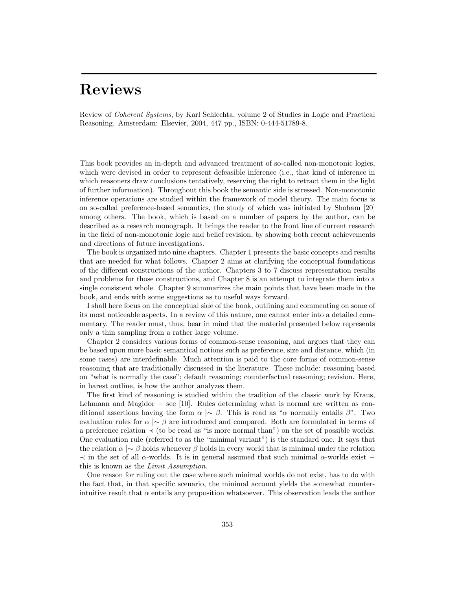Review of *Coherent Systems*, by Karl Schlechta, volume 2 of Studies in Logic and Practical Reasoning. Amsterdam: Elsevier, 2004, 447 pp., ISBN: 0-444-51789-8.

This book provides an in-depth and advanced treatment of so-called non-monotonic logics, which were devised in order to represent defeasible inference (i.e., that kind of inference in which reasoners draw conclusions tentatively, reserving the right to retract them in the light of further information). Throughout this book the semantic side is stressed. Non-monotonic inference operations are studied within the framework of model theory. The main focus is on so-called preference-based semantics, the study of which was initiated by Shoham [20] among others. The book, which is based on a number of papers by the author, can be described as a research monograph. It brings the reader to the front line of current research in the field of non-monotonic logic and belief revision, by showing both recent achievements and directions of future investigations.

The book is organized into nine chapters. Chapter 1 presents the basic concepts and results that are needed for what follows. Chapter 2 aims at clarifying the conceptual foundations of the different constructions of the author. Chapters 3 to 7 discuss representation results and problems for those constructions, and Chapter 8 is an attempt to integrate them into a single consistent whole. Chapter 9 summarizes the main points that have been made in the book, and ends with some suggestions as to useful ways forward.

I shall here focus on the conceptual side of the book, outlining and commenting on some of its most noticeable aspects. In a review of this nature, one cannot enter into a detailed commentary. The reader must, thus, bear in mind that the material presented below represents only a thin sampling from a rather large volume.

Chapter 2 considers various forms of common-sense reasoning, and argues that they can be based upon more basic semantical notions such as preference, size and distance, which (in some cases) are interdefinable. Much attention is paid to the core forms of common-sense reasoning that are traditionally discussed in the literature. These include: reasoning based on "what is normally the case"; default reasoning; counterfactual reasoning; revision. Here, in barest outline, is how the author analyzes them.

The first kind of reasoning is studied within the tradition of the classic work by Kraus, Lehmann and Magidor − see [10]. Rules determining what is normal are written as conditional assertions having the form  $\alpha \sim \beta$ . This is read as " $\alpha$  normally entails  $\beta$ ". Two evaluation rules for  $\alpha \sim \beta$  are introduced and compared. Both are formulated in terms of a preference relation ≺ (to be read as "is more normal than") on the set of possible worlds. One evaluation rule (referred to as the "minimal variant") is the standard one. It says that the relation  $\alpha \sim \beta$  holds whenever  $\beta$  holds in every world that is minimal under the relation  $\prec$  in the set of all  $\alpha$ -worlds. It is in general assumed that such minimal  $\alpha$ -worlds exist − this is known as the *Limit Assumption*.

One reason for ruling out the case where such minimal worlds do not exist, has to do with the fact that, in that specific scenario, the minimal account yields the somewhat counterintuitive result that  $\alpha$  entails any proposition whatsoever. This observation leads the author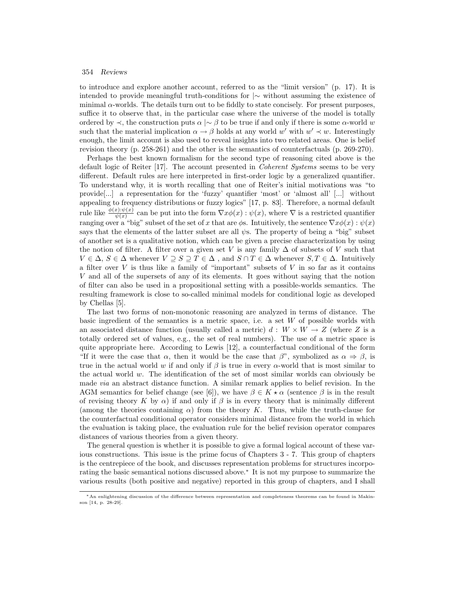to introduce and explore another account, referred to as the "limit version" (p. 17). It is intended to provide meaningful truth-conditions for |∼ without assuming the existence of minimal  $\alpha$ -worlds. The details turn out to be fiddly to state concisely. For present purposes, suffice it to observe that, in the particular case where the universe of the model is totally ordered by  $\prec$ , the construction puts  $\alpha \mid \sim \beta$  to be true if and only if there is some  $\alpha$ -world w such that the material implication  $\alpha \to \beta$  holds at any world w' with  $w' \prec w$ . Interestingly enough, the limit account is also used to reveal insights into two related areas. One is belief revision theory (p. 258-261) and the other is the semantics of counterfactuals (p. 269-270).

Perhaps the best known formalism for the second type of reasoning cited above is the default logic of Reiter [17]. The account presented in *Coherent Systems* seems to be very different. Default rules are here interpreted in first-order logic by a generalized quantifier. To understand why, it is worth recalling that one of Reiter's initial motivations was "to provide[...] a representation for the 'fuzzy' quantifier 'most' or 'almost all' [...] without appealing to frequency distributions or fuzzy logics" [17, p. 83]. Therefore, a normal default rule like  $\frac{\phi(x):\psi(x)}{\psi(x)}$  can be put into the form  $\nabla x \phi(x):\psi(x)$ , where  $\nabla$  is a restricted quantifier ranging over a "big" subset of the set of x that are  $\phi$ s. Intuitively, the sentence  $\nabla x \phi(x) : \psi(x)$ says that the elements of the latter subset are all  $\psi$ s. The property of being a "big" subset of another set is a qualitative notion, which can be given a precise characterization by using the notion of filter. A filter over a given set V is any family  $\Delta$  of subsets of V such that  $V \in \Delta$ ,  $S \in \Delta$  whenever  $V \supseteq S \supseteq T \in \Delta$ , and  $S \cap T \in \Delta$  whenever  $S, T \in \Delta$ . Intuitively a filter over  $V$  is thus like a family of "important" subsets of  $V$  in so far as it contains V and all of the supersets of any of its elements. It goes without saying that the notion of filter can also be used in a propositional setting with a possible-worlds semantics. The resulting framework is close to so-called minimal models for conditional logic as developed by Chellas [5].

The last two forms of non-monotonic reasoning are analyzed in terms of distance. The basic ingredient of the semantics is a metric space, i.e. a set W of possible worlds with an associated distance function (usually called a metric)  $d: W \times W \rightarrow Z$  (where Z is a totally ordered set of values, e.g., the set of real numbers). The use of a metric space is quite appropriate here. According to Lewis  $[12]$ , a counterfactual conditional of the form "If it were the case that  $\alpha$ , then it would be the case that  $\beta$ ", symbolized as  $\alpha \Rightarrow \beta$ , is true in the actual world w if and only if  $\beta$  is true in every  $\alpha$ -world that is most similar to the actual world  $w$ . The identification of the set of most similar worlds can obviously be made *via* an abstract distance function. A similar remark applies to belief revision. In the AGM semantics for belief change (see [6]), we have  $\beta \in K \star \alpha$  (sentence  $\beta$  is in the result of revising theory K by  $\alpha$ ) if and only if  $\beta$  is in every theory that is minimally different (among the theories containing  $\alpha$ ) from the theory K. Thus, while the truth-clause for the counterfactual conditional operator considers minimal distance from the world in which the evaluation is taking place, the evaluation rule for the belief revision operator compares distances of various theories from a given theory.

The general question is whether it is possible to give a formal logical account of these various constructions. This issue is the prime focus of Chapters 3 - 7. This group of chapters is the centrepiece of the book, and discusses representation problems for structures incorporating the basic semantical notions discussed above.<sup>∗</sup> It is not my purpose to summarize the various results (both positive and negative) reported in this group of chapters, and I shall

<sup>∗</sup>An enlightening discussion of the difference between representation and completeness theorems can be found in Makinson [14, p. 28-29].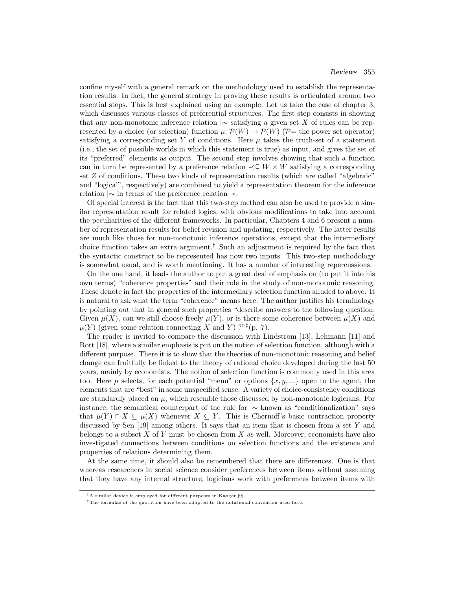confine myself with a general remark on the methodology used to establish the representation results. In fact, the general strategy in proving these results is articulated around two essential steps. This is best explained using an example. Let us take the case of chapter 3, which discusses various classes of preferential structures. The first step consists in showing that any non-monotonic inference relation |∼ satisfying a given set X of rules can be represented by a choice (or selection) function  $\mu: \mathcal{P}(W) \to \mathcal{P}(W)$  ( $\mathcal{P}$ = the power set operator) satisfying a corresponding set Y of conditions. Here  $\mu$  takes the truth-set of a statement (i.e., the set of possible worlds in which this statement is true) as input, and gives the set of its "preferred" elements as output. The second step involves showing that such a function can in turn be represented by a preference relation  $\prec\subseteq W\times W$  satisfying a corresponding set Z of conditions. These two kinds of representation results (which are called "algebraic" and "logical", respectively) are combined to yield a representation theorem for the inference relation |∼ in terms of the preference relation ≺.

Of special interest is the fact that this two-step method can also be used to provide a similar representation result for related logics, with obvious modifications to take into account the peculiarities of the different frameworks. In particular, Chapters 4 and 6 present a number of representation results for belief revision and updating, respectively. The latter results are much like those for non-monotonic inference operations, except that the intermediary choice function takes an extra argument.<sup>†</sup> Such an adjustment is required by the fact that the syntactic construct to be represented has now two inputs. This two-step methodology is somewhat usual, and is worth mentioning. It has a number of interesting repercussions.

On the one hand, it leads the author to put a great deal of emphasis on (to put it into his own terms) "coherence properties" and their role in the study of non-monotonic reasoning. These denote in fact the properties of the intermediary selection function alluded to above. It is natural to ask what the term "coherence" means here. The author justifies his terminology by pointing out that in general such properties "describe answers to the following question: Given  $\mu(X)$ , can we still choose freely  $\mu(Y)$ , or is there some coherence between  $\mu(X)$  and  $\mu(Y)$  (given some relation connecting X and Y) ?"<sup>‡</sup>(p. 7).

The reader is invited to compare the discussion with Lindström  $[13]$ , Lehmann  $[11]$  and Rott [18], where a similar emphasis is put on the notion of selection function, although with a different purpose. There it is to show that the theories of non-monotonic reasoning and belief change can fruitfully be linked to the theory of rational choice developed during the last 50 years, mainly by economists. The notion of selection function is commonly used in this area too. Here  $\mu$  selects, for each potential "menu" or options  $\{x, y, ...\}$  open to the agent, the elements that are "best" in some unspecified sense. A variety of choice-consistency conditions are standardly placed on  $\mu$ , which resemble those discussed by non-monotonic logicians. For instance, the semantical counterpart of the rule for |∼ known as "conditionalization" says that  $\mu(Y) \cap X \subseteq \mu(X)$  whenever  $X \subseteq Y$ . This is Chernoff's basic contraction property discussed by Sen  $[19]$  among others. It says that an item that is chosen from a set Y and belongs to a subset  $X$  of  $Y$  must be chosen from  $X$  as well. Moreover, economists have also investigated connections between conditions on selection functions and the existence and properties of relations determining them.

At the same time, it should also be remembered that there are differences. One is that whereas researchers in social science consider preferences between items without assuming that they have any internal structure, logicians work with preferences between items with

<sup>&</sup>lt;sup>†</sup>A similar device is employed for different purposes in Kanger [9].

<sup>‡</sup>The formulae of the quotation have been adapted to the notational convention used here.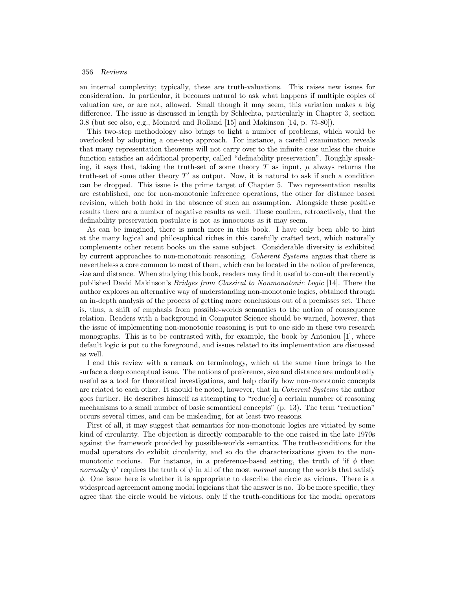an internal complexity; typically, these are truth-valuations. This raises new issues for consideration. In particular, it becomes natural to ask what happens if multiple copies of valuation are, or are not, allowed. Small though it may seem, this variation makes a big difference. The issue is discussed in length by Schlechta, particularly in Chapter 3, section 3.8 (but see also, e.g., Moinard and Rolland [15] and Makinson [14, p. 75-80]).

This two-step methodology also brings to light a number of problems, which would be overlooked by adopting a one-step approach. For instance, a careful examination reveals that many representation theorems will not carry over to the infinite case unless the choice function satisfies an additional property, called "definability preservation". Roughly speaking, it says that, taking the truth-set of some theory  $T$  as input,  $\mu$  always returns the truth-set of some other theory  $T'$  as output. Now, it is natural to ask if such a condition can be dropped. This issue is the prime target of Chapter 5. Two representation results are established, one for non-monotonic inference operations, the other for distance based revision, which both hold in the absence of such an assumption. Alongside these positive results there are a number of negative results as well. These confirm, retroactively, that the definability preservation postulate is not as innocuous as it may seem.

As can be imagined, there is much more in this book. I have only been able to hint at the many logical and philosophical riches in this carefully crafted text, which naturally complements other recent books on the same subject. Considerable diversity is exhibited by current approaches to non-monotonic reasoning. *Coherent Systems* argues that there is nevertheless a core common to most of them, which can be located in the notion of preference, size and distance. When studying this book, readers may find it useful to consult the recently published David Makinson's *Bridges from Classical to Nonmonotonic Logic* [14]. There the author explores an alternative way of understanding non-monotonic logics, obtained through an in-depth analysis of the process of getting more conclusions out of a premisses set. There is, thus, a shift of emphasis from possible-worlds semantics to the notion of consequence relation. Readers with a background in Computer Science should be warned, however, that the issue of implementing non-monotonic reasoning is put to one side in these two research monographs. This is to be contrasted with, for example, the book by Antoniou [1], where default logic is put to the foreground, and issues related to its implementation are discussed as well.

I end this review with a remark on terminology, which at the same time brings to the surface a deep conceptual issue. The notions of preference, size and distance are undoubtedly useful as a tool for theoretical investigations, and help clarify how non-monotonic concepts are related to each other. It should be noted, however, that in *Coherent Systems* the author goes further. He describes himself as attempting to "reduc[e] a certain number of reasoning mechanisms to a small number of basic semantical concepts" (p. 13). The term "reduction" occurs several times, and can be misleading, for at least two reasons.

First of all, it may suggest that semantics for non-monotonic logics are vitiated by some kind of circularity. The objection is directly comparable to the one raised in the late 1970s against the framework provided by possible-worlds semantics. The truth-conditions for the modal operators do exhibit circularity, and so do the characterizations given to the nonmonotonic notions. For instance, in a preference-based setting, the truth of 'if  $\phi$  then *normally*  $\psi$ ' requires the truth of  $\psi$  in all of the most *normal* among the worlds that satisfy  $\phi$ . One issue here is whether it is appropriate to describe the circle as vicious. There is a widespread agreement among modal logicians that the answer is no. To be more specific, they agree that the circle would be vicious, only if the truth-conditions for the modal operators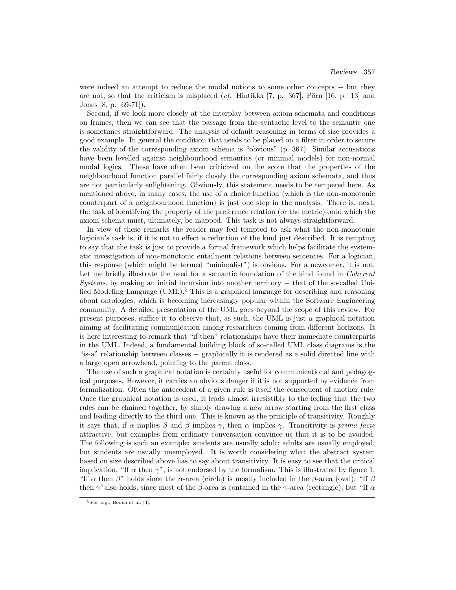were indeed an attempt to reduce the modal notions to some other concepts − but they are not, so that the criticism is misplaced (*cf.* Hintikka [7, p. 367], Pörn [16, p. 13] and Jones [8, p. 69-71]).

Second, if we look more closely at the interplay between axiom schemata and conditions on frames, then we can see that the passage from the syntactic level to the semantic one is sometimes straightforward. The analysis of default reasoning in terms of size provides a good example. In general the condition that needs to be placed on a filter in order to secure the validity of the corresponding axiom schema is "obvious" (p. 367). Similar accusations have been levelled against neighbourhood semantics (or minimal models) for non-normal modal logics. These have often been criticized on the score that the properties of the neighbourhood function parallel fairly closely the corresponding axiom schemata, and thus are not particularly enlightening. Obviously, this statement needs to be tempered here. As mentioned above, in many cases, the use of a choice function (which is the non-monotonic counterpart of a neighbourhood function) is just one step in the analysis. There is, next, the task of identifying the property of the preference relation (or the metric) onto which the axiom schema must, ultimately, be mapped. This task is not always straightforward.

In view of these remarks the reader may feel tempted to ask what the non-monotonic logician's task is, if it is not to effect a reduction of the kind just described. It is tempting to say that the task is just to provide a formal framework which helps facilitate the systematic investigation of non-monotonic entailment relations between sentences. For a logician, this response (which might be termed "minimalist") is obvious. For a newcomer, it is not. Let me briefly illustrate the need for a semantic foundation of the kind found in *Coherent Systems*, by making an initial incursion into another territory − that of the so-called Unified Modeling Language (UML). $§$  This is a graphical language for describing and reasoning about ontologies, which is becoming increasingly popular within the Software Engineering community. A detailed presentation of the UML goes beyond the scope of this review. For present purposes, suffice it to observe that, as such, the UML is just a graphical notation aiming at facilitating communication among researchers coming from different horizons. It is here interesting to remark that "if-then" relationships have their immediate counterparts in the UML. Indeed, a fundamental building block of so-called UML class diagrams is the "is-a" relationship between classes − graphically it is rendered as a solid directed line with a large open arrowhead, pointing to the parent class.

The use of such a graphical notation is certainly useful for communicational and pedagogical purposes. However, it carries an obvious danger if it is not supported by evidence from formalization. Often the antecedent of a given rule is itself the consequent of another rule. Once the graphical notation is used, it leads almost irresistibly to the feeling that the two rules can be chained together, by simply drawing a new arrow starting from the first class and leading directly to the third one. This is known as the principle of transitivity. Roughly it says that, if  $\alpha$  implies  $\beta$  and  $\beta$  implies  $\gamma$ , then  $\alpha$  implies  $\gamma$ . Transitivity is *prima facie* attractive, but examples from ordinary conversation convince us that it is to be avoided. The following is such an example: students are usually adult; adults are usually employed; but students are usually unemployed. It is worth considering what the abstract system based on size described above has to say about transitivity. It is easy to see that the critical implication, "If  $\alpha$  then  $\gamma$ ", is not endorsed by the formalism. This is illustrated by figure 1. "If  $\alpha$  then  $\beta$ " holds since the  $\alpha$ -area (circle) is mostly included in the  $\beta$ -area (oval); "If  $\beta$ then  $\gamma$ "also holds, since most of the β-area is contained in the  $\gamma$ -area (rectangle); but "If  $\alpha$ 

 $\S$ See, e.g., Booch et al. [4].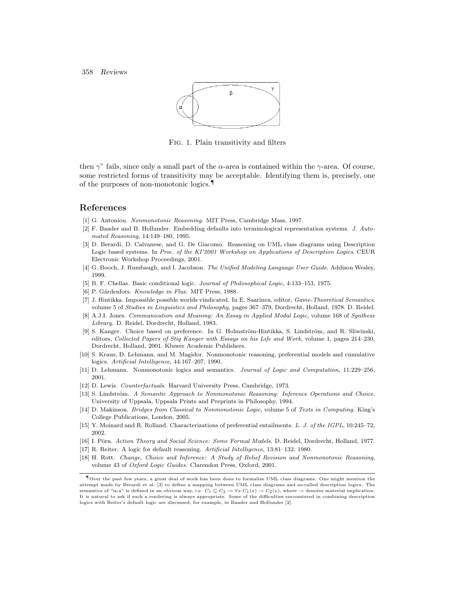

Fig. 1. Plain transitivity and filters

then  $\gamma$ " fails, since only a small part of the  $\alpha$ -area is contained within the  $\gamma$ -area. Of course, some restricted forms of transitivity may be acceptable. Identifying them is, precisely, one of the purposes of non-monotonic logics.¶

## **References**

- [1] G. Antoniou. *Nonmonotonic Reasoning*. MIT Press, Cambridge Mass, 1997.
- [2] F. Baader and B. Hollunder. Embedding defaults into terminological representation systems. *J. Automated Reasoning*, 14:149–180, 1995.
- [3] D. Berardi, D. Calvanese, and G. De Giacomo. Reasoning on UML class diagrams using Description Logic based systems. In *Proc. of the KI'2001 Workshop on Applications of Description Logics*. CEUR Electronic Workshop Proceedings, 2001.
- [4] G. Booch, J. Rumbaugh, and I. Jacobson. *The Unified Modeling Language User Guide*. Addison Wesley, 1999.
- [5] B. F. Chellas. Basic conditional logic. *Journal of Philosophical Logic*, 4:133–153, 1975.
- [6] P. Gärdenfors. *Knowledge in Flux*. MIT Press, 1988.
- [7] J. Hintikka. Impossible possible worlds vindicated. In E. Saarinen, editor, *Game-Theoretical Semantics*, volume 5 of *Studies in Linguistics and Philosophy*, pages 367–379, Dordrecht, Holland, 1978. D. Reidel.
- [8] A.J.I. Jones. *Communication and Meaning: An Essay in Applied Modal Logic*, volume 168 of *Synthese Library*. D. Reidel, Dordrecht, Holland, 1983.
- [9] S. Kanger. Choice based on preference. In G. Holmström-Hintikka, S. Lindström, and R. Sliwinski, editors, *Collected Papers of Stig Kanger with Essays on his Life and Work*, volume 1, pages 214–230, Dordrecht, Holland, 2001. Kluwer Academic Publishers.
- [10] S. Kraus, D. Lehmann, and M. Magidor. Nonmonotonic reasoning, preferential models and cumulative logics. *Artificial Intelligence*, 44:167–207, 1990.
- [11] D. Lehmann. Nonmonotonic logics and semantics. *Journal of Logic and Computation*, 11:229–256, 2001.
- [12] D. Lewis. *Counterfactuals*. Harvard University Press, Cambridge, 1973.
- [13] S. Lindström. *A Semantic Approach to Nonmonotonic Reasoning: Inference Operations and Choice.* University of Uppsala, Uppsala Prints and Preprints in Philosophy, 1994.
- [14] D. Makinson. *Bridges from Classical to Nonmonotonic Logic*, volume 5 of *Texts in Computing*. King's College Publications, London, 2005.
- [15] Y. Moinard and R. Rolland. Characterizations of preferential entailments. *L. J. of the IGPL*, 10:245–72, 2002.
- [16] I. Pörn. *Action Theory and Social Science: Some Formal Models*. D. Reidel, Dordrecht, Holland, 1977.
- [17] R. Reiter. A logic for default reasoning. *Artificial Intelligence*, 13:81–132, 1980.
- [18] H. Rott. *Change, Choice and Inference: A Study of Belief Revision and Nonmonotonic Reasoning*, volume 43 of *Oxford Logic Guides*. Clarendon Press, Oxford, 2001.

<sup>¶</sup>Over the past few years, a great deal of work has been done to formalize UML class diagrams. One might mention the attempt made by Berardi et al. [3] to define a mapping between UML class diagrams and so-called description logics. The semantics of "is-a" is defined in an obvious way, i.e.  $C_1 \sqsubseteq C_2 := \forall x.C_1(x) \rightarrow C_2(x)$ , where  $\rightarrow$  denotes material implication. It is natural to ask if such a rendering is always appropriate. Some of the difficulties encountered in combining description logics with Reiter's default logic are discussed, for example, in Baader and Hollunder [2].